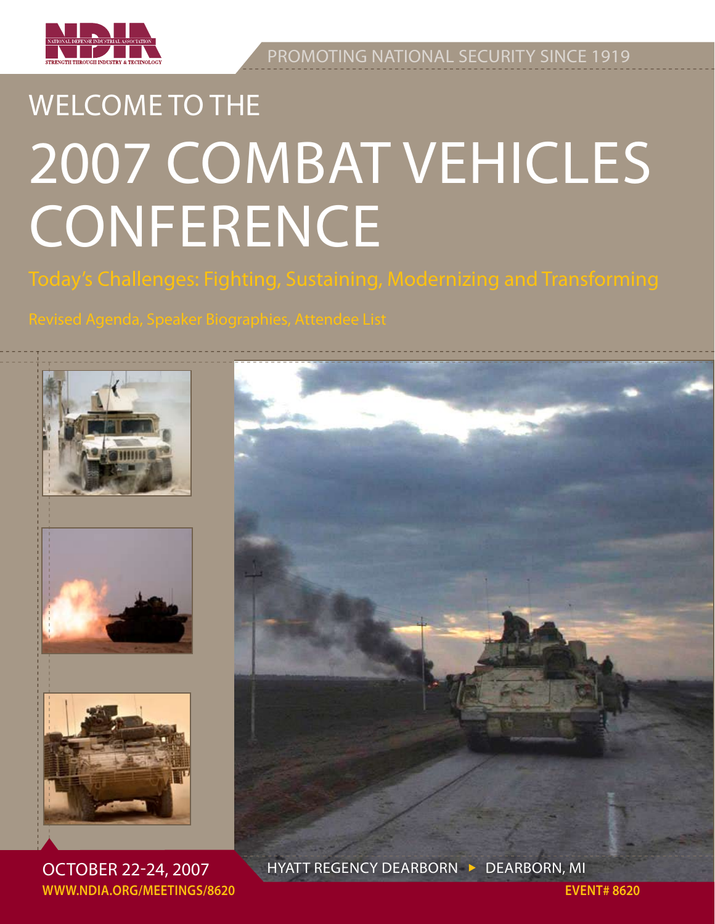

Promoting national security since 1919

# WELCOME TO THE 2007 Combat Vehicles **CONFERENCE**

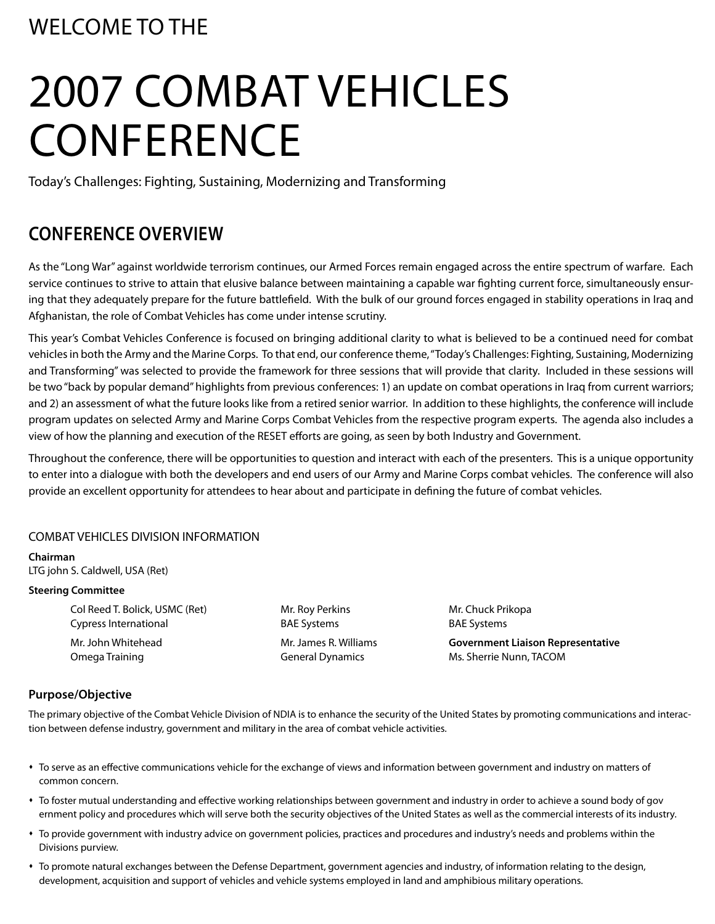### WElcome to the

# 2007 Combat Vehicles **CONFERENCE**

Today's Challenges: Fighting, Sustaining, Modernizing and Transforming

### **Conference Overview**

As the "Long War" against worldwide terrorism continues, our Armed Forces remain engaged across the entire spectrum of warfare. Each service continues to strive to attain that elusive balance between maintaining a capable war fighting current force, simultaneously ensuring that they adequately prepare for the future battlefield. With the bulk of our ground forces engaged in stability operations in Iraq and Afghanistan, the role of Combat Vehicles has come under intense scrutiny.

This year's Combat Vehicles Conference is focused on bringing additional clarity to what is believed to be a continued need for combat vehicles in both the Army and the Marine Corps. To that end, our conference theme, "Today's Challenges: Fighting, Sustaining, Modernizing and Transforming" was selected to provide the framework for three sessions that will provide that clarity. Included in these sessions will be two "back by popular demand" highlights from previous conferences: 1) an update on combat operations in Iraq from current warriors; and 2) an assessment of what the future looks like from a retired senior warrior. In addition to these highlights, the conference will include program updates on selected Army and Marine Corps Combat Vehicles from the respective program experts. The agenda also includes a view of how the planning and execution of the RESET efforts are going, as seen by both Industry and Government.

Throughout the conference, there will be opportunities to question and interact with each of the presenters. This is a unique opportunity to enter into a dialogue with both the developers and end users of our Army and Marine Corps combat vehicles. The conference will also provide an excellent opportunity for attendees to hear about and participate in defining the future of combat vehicles.

### COMBAT VEHICLES DIVISION INFORMATION

**Chairman** LTG john S. Caldwell, USA (Ret)

#### **Steering Committee**

Col Reed T. Bolick, USMC (Ret) **Mr. Roy Perkins** Mr. Chuck Prikopa Cypress International BAE Systems BAE Systems

 Mr. John Whitehead Mr. James R. Williams **Government Liaison Representative** Omega Training General Dynamics Ms. Sherrie Nunn, TACOM

### **Purpose/Objective**

The primary objective of the Combat Vehicle Division of NDIA is to enhance the security of the United States by promoting communications and interaction between defense industry, government and military in the area of combat vehicle activities.

- \* To serve as an effective communications vehicle for the exchange of views and information between government and industry on matters of common concern.
- \* To foster mutual understanding and effective working relationships between government and industry in order to achieve a sound body of gov ernment policy and procedures which will serve both the security objectives of the United States as well as the commercial interests of its industry.
- \* To provide government with industry advice on government policies, practices and procedures and industry's needs and problems within the Divisions purview.
- \* To promote natural exchanges between the Defense Department, government agencies and industry, of information relating to the design, development, acquisition and support of vehicles and vehicle systems employed in land and amphibious military operations.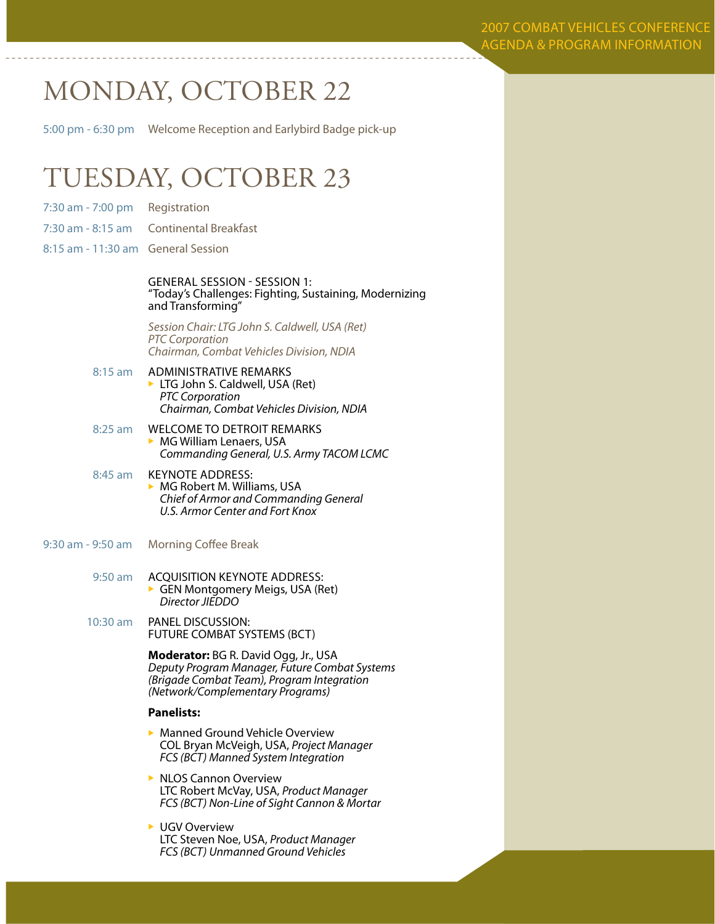2007 Combat Vehicles Conference agenda & program information

## MONDAY, OCTOBER 22

5:00 pm - 6:30 pm Welcome Reception and Earlybird Badge pick-up

## TUESDAY, OCTOBER 23

- 7:30 am 7:00 pm Registration
- 7:30 am 8:15 am Continental Breakfast
- 8:15 am 11:30 am General Session

GENERAL SESSION - SESSION 1:<br>"Today's Challenges: Fighting, Sustaining, Modernizing and Transforming"

*Session Chair: LTG John S. Caldwell, USA (Ret) PTC Corporation Chairman, Combat Vehicles Division, NDIA*

- 8:15 am ADMINISTRATIVE REMARKS  $\blacktriangleright$  LTG John S. Caldwell, USA (Ret)  *PTC Corporation Chairman, Combat Vehicles Division, NDIA*
- 8:25 am **WELCOME TO DETROIT REMARKS**  $\triangleright$  MG William Lenaers, USA *Commanding General, U.S. Army TACOM LCMC*
- 8:45 am KEYNOTE ADDRESS: MG Robert M. Williams, USA  *Chief of Armor and Commanding General U.S. Armor Center and Fort Knox*
- 9:30 am 9:50 am Morning Coffee Break
	- 9:50 am ACQUISITION KEYNOTE ADDRESS: GEN Montgomery Meigs, USA (Ret) *Director JIEDDO*
	- 10:30 am PANEL DISCUSSION: FUTURE COMBAT SYSTEMS (BCT)

**Moderator:** BG R. David Ogg, Jr., USA *Deputy Program Manager, Future Combat Systems (Brigade Combat Team), Program Integration (Network/Complementary Programs)* 

#### **Panelists:**

- $\blacktriangleright$  Manned Ground Vehicle Overview COL Bryan McVeigh, USA, *Project Manager FCS (BCT) Manned System Integration*
- $\triangleright$  NLOS Cannon Overview LTC Robert McVay, USA, *Product Manager FCS (BCT) Non-Line of Sight Cannon & Mortar*
- **UGV Overview**  LTC Steven Noe, USA, *Product Manager FCS (BCT) Unmanned Ground Vehicles*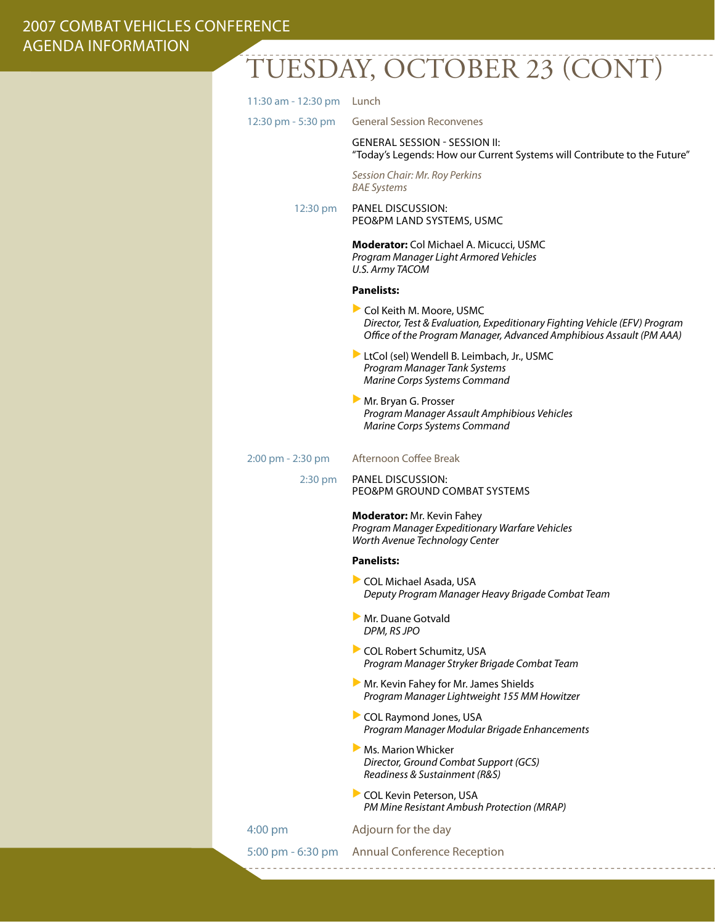### 2007 Combat Vehicles Conference agenda information

# Tuesday, October 23 (cont)

| 11:30 am - 12:30 pm Lunch            |                                                                                                                                                                              |
|--------------------------------------|------------------------------------------------------------------------------------------------------------------------------------------------------------------------------|
| $12:30 \text{ pm} - 5:30 \text{ pm}$ | <b>General Session Reconvenes</b>                                                                                                                                            |
|                                      | <b>GENERAL SESSION - SESSION II:</b><br>"Today's Legends: How our Current Systems will Contribute to the Future"                                                             |
|                                      | Session Chair: Mr. Roy Perkins<br><b>BAE Systems</b>                                                                                                                         |
| 12:30 pm                             | <b>PANEL DISCUSSION:</b><br>PEO&PM LAND SYSTEMS, USMC                                                                                                                        |
|                                      | <b>Moderator:</b> Col Michael A. Micucci, USMC<br>Program Manager Light Armored Vehicles<br><b>U.S. Army TACOM</b>                                                           |
|                                      | <b>Panelists:</b>                                                                                                                                                            |
|                                      | Col Keith M. Moore, USMC<br>Director, Test & Evaluation, Expeditionary Fighting Vehicle (EFV) Program<br>Office of the Program Manager, Advanced Amphibious Assault (PM AAA) |
|                                      | LtCol (sel) Wendell B. Leimbach, Jr., USMC<br>Program Manager Tank Systems<br>Marine Corps Systems Command                                                                   |
|                                      | Mr. Bryan G. Prosser<br>Program Manager Assault Amphibious Vehicles<br>Marine Corps Systems Command                                                                          |
| 2:00 pm - 2:30 pm                    | Afternoon Coffee Break                                                                                                                                                       |
| $2:30$ pm                            | <b>PANEL DISCUSSION:</b><br>PEO&PM GROUND COMBAT SYSTEMS                                                                                                                     |
|                                      | <b>Moderator:</b> Mr. Kevin Fahey<br>Program Manager Expeditionary Warfare Vehicles<br>Worth Avenue Technology Center                                                        |
|                                      | <b>Panelists:</b>                                                                                                                                                            |
|                                      | COL Michael Asada, USA<br>Deputy Program Manager Heavy Brigade Combat Team                                                                                                   |
|                                      | Mr. Duane Gotvald<br>DPM, RS JPO                                                                                                                                             |
|                                      | COL Robert Schumitz, USA<br>Program Manager Stryker Brigade Combat Team                                                                                                      |
|                                      | Mr. Kevin Fahey for Mr. James Shields<br>Program Manager Lightweight 155 MM Howitzer                                                                                         |
|                                      | COL Raymond Jones, USA<br>Program Manager Modular Brigade Enhancements                                                                                                       |
|                                      | Ms. Marion Whicker<br>Director, Ground Combat Support (GCS)<br>Readiness & Sustainment (R&S)                                                                                 |
|                                      | COL Kevin Peterson, USA<br>PM Mine Resistant Ambush Protection (MRAP)                                                                                                        |
| $4:00$ pm                            | Adjourn for the day                                                                                                                                                          |
|                                      | 5:00 pm - 6:30 pm Annual Conference Reception                                                                                                                                |
|                                      |                                                                                                                                                                              |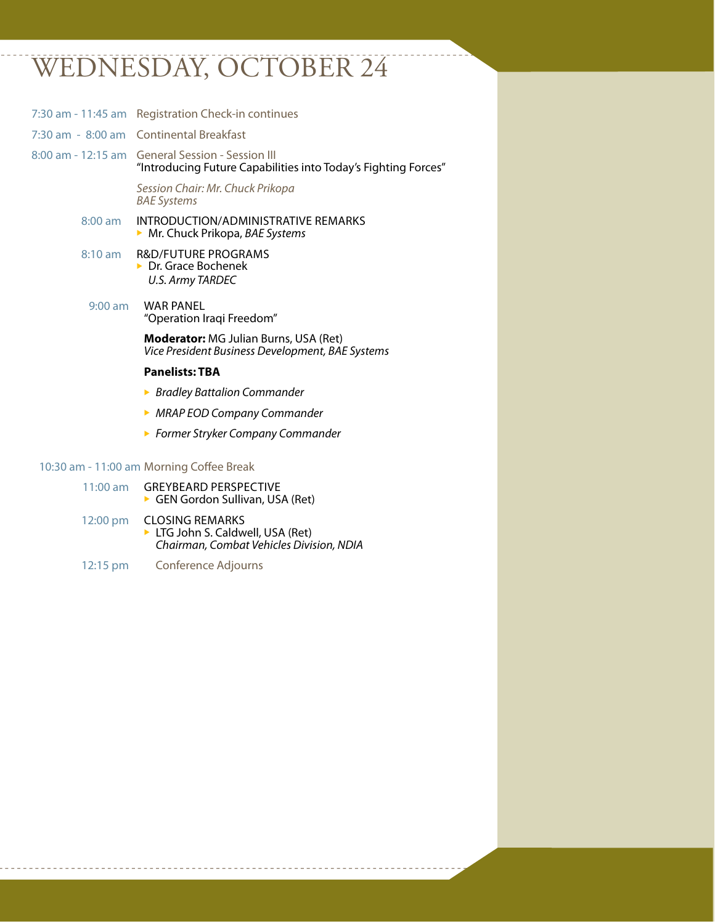## WEDNESDAY, OCTOBER 24

|           | 7:30 am - 11:45 am Registration Check-in continues                                                                 |
|-----------|--------------------------------------------------------------------------------------------------------------------|
|           | 7:30 am - 8:00 am Continental Breakfast                                                                            |
|           | 8:00 am - 12:15 am General Session - Session III<br>"Introducing Future Capabilities into Today's Fighting Forces" |
|           | Session Chair: Mr. Chuck Prikopa<br><b>BAE Systems</b>                                                             |
| $8:00$ am | INTRODUCTION/ADMINISTRATIVE REMARKS<br>$\triangleright$ Mr. Chuck Prikopa, BAE Systems                             |
| 8:10 am   | <b>R&amp;D/FUTURE PROGRAMS</b><br>$\triangleright$ Dr. Grace Bochenek<br><b>U.S. Army TARDEC</b>                   |
| $9:00$ am | <b>WAR PANEL</b><br>"Operation Iraqi Freedom"                                                                      |
|           | <b>Moderator:</b> MG Julian Burns, USA (Ret)<br>Vice President Business Development, BAE Systems                   |
|           | <b>Panelists: TBA</b>                                                                                              |
|           | ▶ Bradley Battalion Commander                                                                                      |
|           | • MRAP EOD Company Commander                                                                                       |
|           | ▶ Former Stryker Company Commander                                                                                 |
|           | 10:30 am - 11:00 am Morning Coffee Break                                                                           |
| 11:00 am  | <b>GREYBEARD PERSPECTIVE</b><br>GEN Gordon Sullivan, USA (Ret)                                                     |

- 12:00 pm CLOSING REMARKS <sup>u</sup> LTG John S. Caldwell, USA (Ret) *Chairman, Combat Vehicles Division, NDIA*
- 12:15 pm Conference Adjourns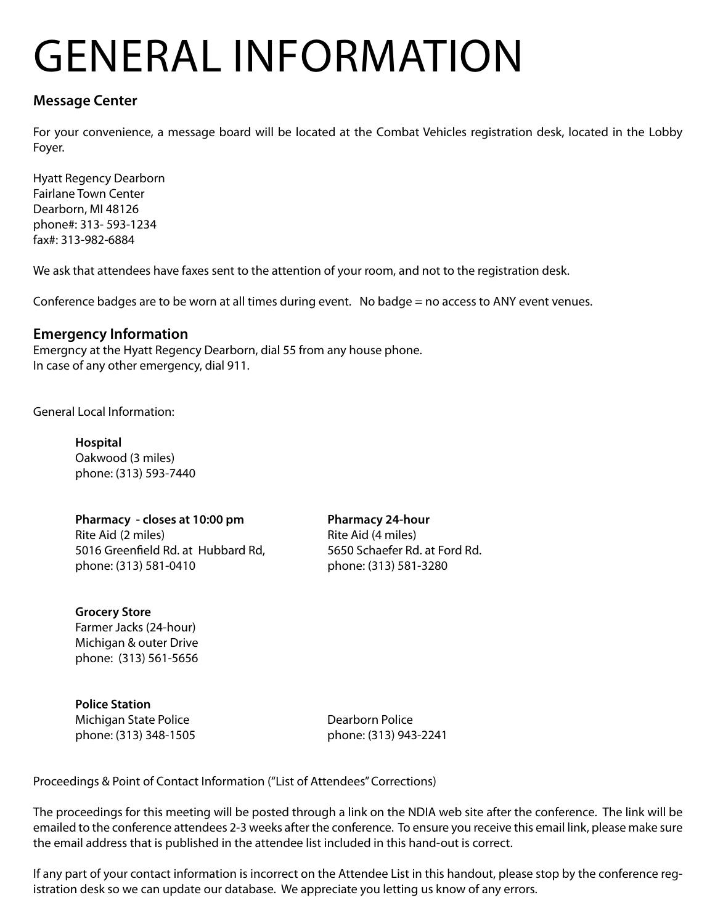# General Information

### **Message Center**

For your convenience, a message board will be located at the Combat Vehicles registration desk, located in the Lobby Foyer.

Hyatt Regency Dearborn Fairlane Town Center Dearborn, MI 48126 phone#: 313- 593-1234 fax#: 313-982-6884

We ask that attendees have faxes sent to the attention of your room, and not to the registration desk.

Conference badges are to be worn at all times during event. No badge = no access to ANY event venues.

### **Emergency Information**

Emergncy at the Hyatt Regency Dearborn, dial 55 from any house phone. In case of any other emergency, dial 911.

General Local Information:

 **Hospital** Oakwood (3 miles) phone: (313) 593-7440

 **Pharmacy - closes at 10:00 pm Pharmacy 24-hour** Rite Aid (2 miles) Rite Aid (4 miles) 5016 Greenfield Rd. at Hubbard Rd, 5650 Schaefer Rd. at Ford Rd. phone: (313) 581-0410 phone: (313) 581-3280

**Grocery Store**  Farmer Jacks (24-hour) Michigan & outer Drive phone: (313) 561-5656

 **Police Station** Michigan State Police **Dearborn Police** Dearborn Police phone: (313) 348-1505 phone: (313) 943-2241

Proceedings & Point of Contact Information ("List of Attendees" Corrections)

The proceedings for this meeting will be posted through a link on the NDIA web site after the conference. The link will be emailed to the conference attendees 2-3 weeks after the conference. To ensure you receive this email link, please make sure the email address that is published in the attendee list included in this hand-out is correct.

If any part of your contact information is incorrect on the Attendee List in this handout, please stop by the conference registration desk so we can update our database. We appreciate you letting us know of any errors.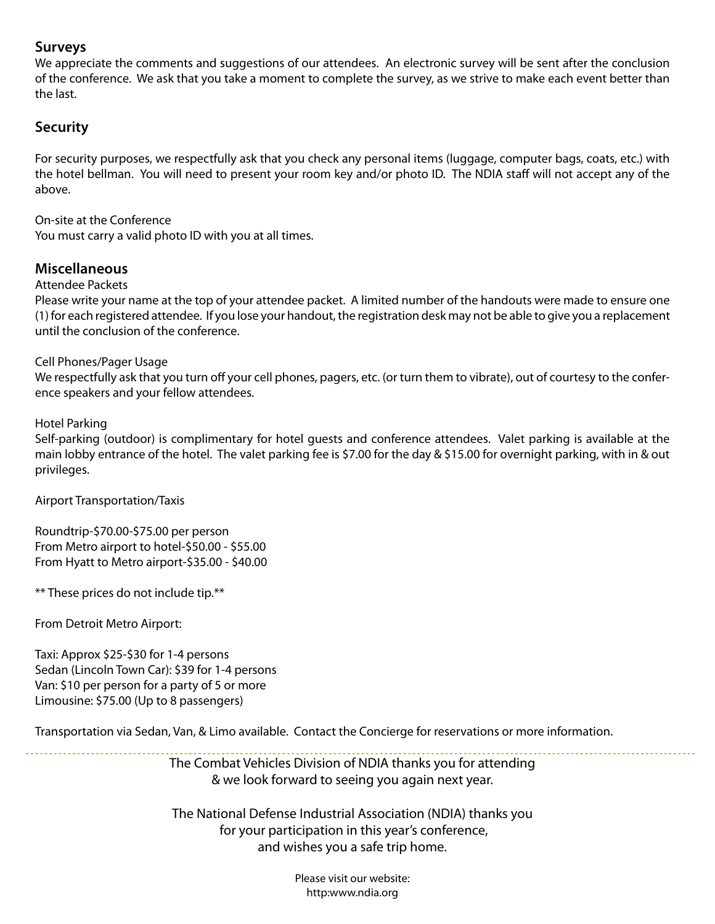### **Surveys**

We appreciate the comments and suggestions of our attendees. An electronic survey will be sent after the conclusion of the conference. We ask that you take a moment to complete the survey, as we strive to make each event better than the last.

### **Security**

For security purposes, we respectfully ask that you check any personal items (luggage, computer bags, coats, etc.) with the hotel bellman. You will need to present your room key and/or photo ID. The NDIA staff will not accept any of the above.

On-site at the Conference

You must carry a valid photo ID with you at all times.

### **Miscellaneous**

### Attendee Packets

Please write your name at the top of your attendee packet. A limited number of the handouts were made to ensure one (1) for each registered attendee. If you lose your handout, the registration desk may not be able to give you a replacement until the conclusion of the conference.

### Cell Phones/Pager Usage

We respectfully ask that you turn off your cell phones, pagers, etc. (or turn them to vibrate), out of courtesy to the conference speakers and your fellow attendees.

### Hotel Parking

Self-parking (outdoor) is complimentary for hotel guests and conference attendees. Valet parking is available at the main lobby entrance of the hotel. The valet parking fee is \$7.00 for the day & \$15.00 for overnight parking, with in & out privileges.

Airport Transportation/Taxis

Roundtrip-\$70.00-\$75.00 per person From Metro airport to hotel-\$50.00 - \$55.00 From Hyatt to Metro airport-\$35.00 - \$40.00

\*\* These prices do not include tip.\*\*

From Detroit Metro Airport:

Taxi: Approx \$25-\$30 for 1-4 persons Sedan (Lincoln Town Car): \$39 for 1-4 persons Van: \$10 per person for a party of 5 or more Limousine: \$75.00 (Up to 8 passengers)

Transportation via Sedan, Van, & Limo available. Contact the Concierge for reservations or more information.

The Combat Vehicles Division of NDIA thanks you for attending & we look forward to seeing you again next year.

The National Defense Industrial Association (NDIA) thanks you for your participation in this year's conference, and wishes you a safe trip home.

> Please visit our website: http:www.ndia.org